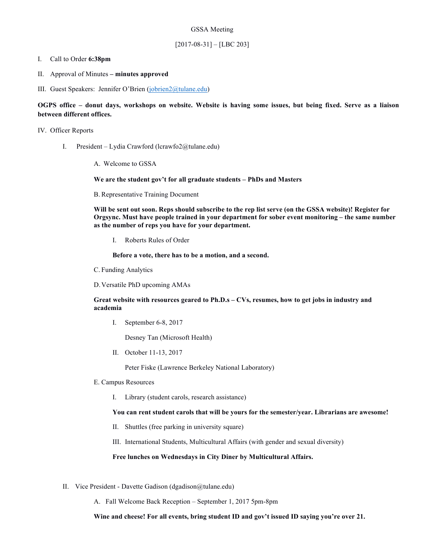#### I. Call to Order **6:38pm**

- II. Approval of Minutes **– minutes approved**
- III. Guest Speakers: Jennifer O'Brien (jobrien2@tulane.edu)

#### **OGPS office – donut days, workshops on website. Website is having some issues, but being fixed. Serve as a liaison between different offices.**

#### IV. Officer Reports

- I. President Lydia Crawford (lcrawfo2@tulane.edu)
	- A. Welcome to GSSA

#### **We are the student gov't for all graduate students – PhDs and Masters**

B. Representative Training Document

**Will be sent out soon. Reps should subscribe to the rep list serve (on the GSSA website)! Register for Orgsync. Must have people trained in your department for sober event monitoring – the same number as the number of reps you have for your department.** 

I. Roberts Rules of Order

**Before a vote, there has to be a motion, and a second.** 

C. Funding Analytics

D.Versatile PhD upcoming AMAs

#### **Great website with resources geared to Ph.D.s – CVs, resumes, how to get jobs in industry and academia**

I. September 6-8, 2017

Desney Tan (Microsoft Health)

II. October 11-13, 2017

Peter Fiske (Lawrence Berkeley National Laboratory)

- E. Campus Resources
	- I. Library (student carols, research assistance)

#### **You can rent student carols that will be yours for the semester/year. Librarians are awesome!**

- II. Shuttles (free parking in university square)
- III. International Students, Multicultural Affairs (with gender and sexual diversity)

#### **Free lunches on Wednesdays in City Diner by Multicultural Affairs.**

- II. Vice President Davette Gadison (dgadison@tulane.edu)
	- A. Fall Welcome Back Reception September 1, 2017 5pm-8pm

**Wine and cheese! For all events, bring student ID and gov't issued ID saying you're over 21.**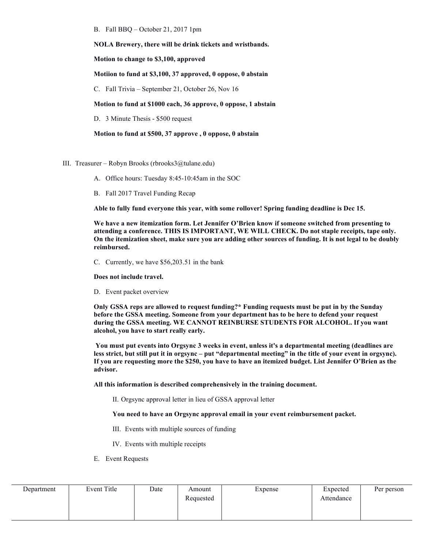B. Fall BBQ – October 21, 2017 1pm

**NOLA Brewery, there will be drink tickets and wristbands.** 

**Motion to change to \$3,100, approved**

**Motiion to fund at \$3,100, 37 approved, 0 oppose, 0 abstain**

C. Fall Trivia – September 21, October 26, Nov 16

**Motion to fund at \$1000 each, 36 approve, 0 oppose, 1 abstain**

D. 3 Minute Thesis - \$500 request

**Motion to fund at \$500, 37 approve , 0 oppose, 0 abstain**

- III. Treasurer Robyn Brooks (rbrooks3@tulane.edu)
	- A. Office hours: Tuesday 8:45-10:45am in the SOC
	- B. Fall 2017 Travel Funding Recap

**Able to fully fund everyone this year, with some rollover! Spring funding deadline is Dec 15.**

**We have a new itemization form. Let Jennifer O'Brien know if someone switched from presenting to attending a conference. THIS IS IMPORTANT, WE WILL CHECK. Do not staple receipts, tape only. On the itemization sheet, make sure you are adding other sources of funding. It is not legal to be doubly reimbursed.** 

C. Currently, we have \$56,203.51 in the bank

**Does not include travel.** 

D. Event packet overview

**Only GSSA reps are allowed to request funding?\* Funding requests must be put in by the Sunday before the GSSA meeting. Someone from your department has to be here to defend your request during the GSSA meeting. WE CANNOT REINBURSE STUDENTS FOR ALCOHOL. If you want alcohol, you have to start really early.**

**You must put events into Orgsync 3 weeks in event, unless it's a departmental meeting (deadlines are less strict, but still put it in orgsync – put "departmental meeting" in the title of your event in orgsync). If you are requesting more the \$250, you have to have an itemized budget. List Jennifer O'Brien as the advisor.** 

**All this information is described comprehensively in the training document.** 

II. Orgsync approval letter in lieu of GSSA approval letter

#### **You need to have an Orgsync approval email in your event reimbursement packet.**

- III. Events with multiple sources of funding
- IV. Events with multiple receipts
- E. Event Requests

| Department | Event Title | Date | Amount    | Expense | Expected   | Per person |
|------------|-------------|------|-----------|---------|------------|------------|
|            |             |      | Requested |         | Attendance |            |
|            |             |      |           |         |            |            |
|            |             |      |           |         |            |            |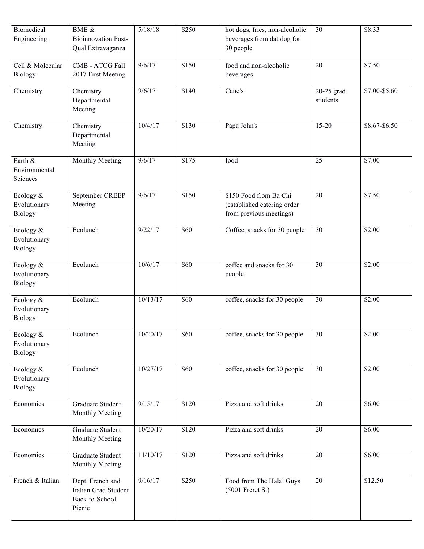| <b>Biomedical</b> | <b>BME &amp;</b>           | 5/18/18  | \$250 | hot dogs, fries, non-alcoholic | 30         | \$8.33        |
|-------------------|----------------------------|----------|-------|--------------------------------|------------|---------------|
| Engineering       | <b>Bioinnovation Post-</b> |          |       | beverages from dat dog for     |            |               |
|                   | Qual Extravaganza          |          |       | 30 people                      |            |               |
|                   |                            |          |       |                                |            |               |
| Cell & Molecular  | CMB - ATCG Fall            | 9/6/17   | \$150 | food and non-alcoholic         | 20         | \$7.50        |
| <b>Biology</b>    | 2017 First Meeting         |          |       | beverages                      |            |               |
|                   |                            |          |       |                                |            |               |
| Chemistry         | Chemistry                  | 9/6/17   | \$140 | Cane's                         | 20-25 grad | \$7.00-\$5.60 |
|                   | Departmental               |          |       |                                | students   |               |
|                   | Meeting                    |          |       |                                |            |               |
|                   |                            |          |       |                                |            |               |
| Chemistry         | Chemistry                  | 10/4/17  | \$130 | Papa John's                    | $15 - 20$  | \$8.67-\$6.50 |
|                   | Departmental               |          |       |                                |            |               |
|                   | Meeting                    |          |       |                                |            |               |
|                   |                            |          |       |                                |            |               |
| Earth &           | Monthly Meeting            | 9/6/17   | \$175 | food                           | 25         | \$7.00        |
| Environmental     |                            |          |       |                                |            |               |
| Sciences          |                            |          |       |                                |            |               |
|                   |                            |          |       |                                |            |               |
| Ecology &         | September CREEP            | 9/6/17   | \$150 | \$150 Food from Ba Chi         | 20         | \$7.50        |
| Evolutionary      | Meeting                    |          |       | (established catering order    |            |               |
| <b>Biology</b>    |                            |          |       | from previous meetings)        |            |               |
|                   |                            |          |       |                                |            |               |
| Ecology &         | Ecolunch                   | 9/22/17  | \$60  | Coffee, snacks for 30 people   | 30         | \$2.00        |
| Evolutionary      |                            |          |       |                                |            |               |
| <b>Biology</b>    |                            |          |       |                                |            |               |
|                   |                            |          |       |                                |            |               |
| Ecology &         | Ecolunch                   | 10/6/17  | \$60  | coffee and snacks for 30       | 30         | \$2.00        |
| Evolutionary      |                            |          |       | people                         |            |               |
| <b>Biology</b>    |                            |          |       |                                |            |               |
|                   | Ecolunch                   | 10/13/17 | \$60  | coffee, snacks for 30 people   | 30         | \$2.00        |
| Ecology $\&$      |                            |          |       |                                |            |               |
| Evolutionary      |                            |          |       |                                |            |               |
| <b>Biology</b>    |                            |          |       |                                |            |               |
| Ecology &         | Ecolunch                   | 10/20/17 | \$60  | coffee, snacks for 30 people   | 30         | \$2.00        |
|                   |                            |          |       |                                |            |               |
| Evolutionary      |                            |          |       |                                |            |               |
| <b>Biology</b>    |                            |          |       |                                |            |               |
| Ecology &         | Ecolunch                   | 10/27/17 | \$60  | coffee, snacks for 30 people   | 30         | \$2.00        |
| Evolutionary      |                            |          |       |                                |            |               |
| <b>Biology</b>    |                            |          |       |                                |            |               |
|                   |                            |          |       |                                |            |               |
| Economics         | Graduate Student           | 9/15/17  | \$120 | Pizza and soft drinks          | 20         | \$6.00        |
|                   | Monthly Meeting            |          |       |                                |            |               |
|                   |                            |          |       |                                |            |               |
| Economics         | Graduate Student           | 10/20/17 | \$120 | Pizza and soft drinks          | 20         | \$6.00        |
|                   | Monthly Meeting            |          |       |                                |            |               |
|                   |                            |          |       |                                |            |               |
| Economics         | Graduate Student           | 11/10/17 | \$120 | Pizza and soft drinks          | 20         | \$6.00        |
|                   | Monthly Meeting            |          |       |                                |            |               |
|                   |                            |          |       |                                |            |               |
| French & Italian  | Dept. French and           | 9/16/17  | \$250 | Food from The Halal Guys       | 20         | \$12.50       |
|                   | Italian Grad Student       |          |       | $(5001$ Freret St)             |            |               |
|                   | Back-to-School             |          |       |                                |            |               |
|                   | Picnic                     |          |       |                                |            |               |
|                   |                            |          |       |                                |            |               |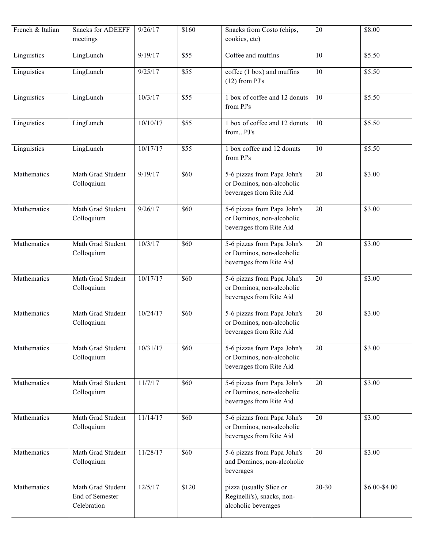| French & Italian | <b>Snacks for ADEEFF</b><br>meetings                | 9/26/17  | \$160             | Snacks from Costo (chips,<br>cookies, etc)                                          | 20        | \$8.00        |
|------------------|-----------------------------------------------------|----------|-------------------|-------------------------------------------------------------------------------------|-----------|---------------|
| Linguistics      | LingLunch                                           | 9/19/17  | \$55              | Coffee and muffins                                                                  | 10        | \$5.50        |
| Linguistics      | LingLunch                                           | 9/25/17  | \$55              | coffee (1 box) and muffins<br>$(12)$ from PJ's                                      | 10        | \$5.50        |
| Linguistics      | LingLunch                                           | 10/3/17  | \$55              | 1 box of coffee and 12 donuts<br>from PJ's                                          | 10        | \$5.50        |
| Linguistics      | LingLunch                                           | 10/10/17 | \$55              | 1 box of coffee and 12 donuts<br>fromPJ's                                           | 10        | \$5.50        |
| Linguistics      | LingLunch                                           | 10/17/17 | \$55              | 1 box coffee and 12 donuts<br>from PJ's                                             | 10        | \$5.50        |
| Mathematics      | Math Grad Student<br>Colloquium                     | 9/19/17  | \$60              | 5-6 pizzas from Papa John's<br>or Dominos, non-alcoholic<br>beverages from Rite Aid | 20        | \$3.00        |
| Mathematics      | Math Grad Student<br>Colloquium                     | 9/26/17  | \$60              | 5-6 pizzas from Papa John's<br>or Dominos, non-alcoholic<br>beverages from Rite Aid | 20        | \$3.00        |
| Mathematics      | Math Grad Student<br>Colloquium                     | 10/3/17  | \$60              | 5-6 pizzas from Papa John's<br>or Dominos, non-alcoholic<br>beverages from Rite Aid | 20        | \$3.00        |
| Mathematics      | Math Grad Student<br>Colloquium                     | 10/17/17 | \$60              | 5-6 pizzas from Papa John's<br>or Dominos, non-alcoholic<br>beverages from Rite Aid | 20        | \$3.00        |
| Mathematics      | Math Grad Student<br>Colloquium                     | 10/24/17 | \$60              | 5-6 pizzas from Papa John's<br>or Dominos, non-alcoholic<br>beverages from Rite Aid | 20        | \$3.00        |
| Mathematics      | Math Grad Student<br>Colloquium                     | 10/31/17 | \$60              | 5-6 pizzas from Papa John's<br>or Dominos, non-alcoholic<br>beverages from Rite Aid | 20        | \$3.00        |
| Mathematics      | Math Grad Student<br>Colloquium                     | 11/7/17  | \$60              | 5-6 pizzas from Papa John's<br>or Dominos, non-alcoholic<br>beverages from Rite Aid | 20        | \$3.00        |
| Mathematics      | Math Grad Student<br>Colloquium                     | 11/14/17 | \$60              | 5-6 pizzas from Papa John's<br>or Dominos, non-alcoholic<br>beverages from Rite Aid | 20        | \$3.00        |
| Mathematics      | Math Grad Student<br>Colloquium                     | 11/28/17 | \$60              | 5-6 pizzas from Papa John's<br>and Dominos, non-alcoholic<br>beverages              | 20        | \$3.00        |
| Mathematics      | Math Grad Student<br>End of Semester<br>Celebration | 12/5/17  | $\overline{$}120$ | pizza (usually Slice or<br>Reginelli's), snacks, non-<br>alcoholic beverages        | $20 - 30$ | \$6.00-\$4.00 |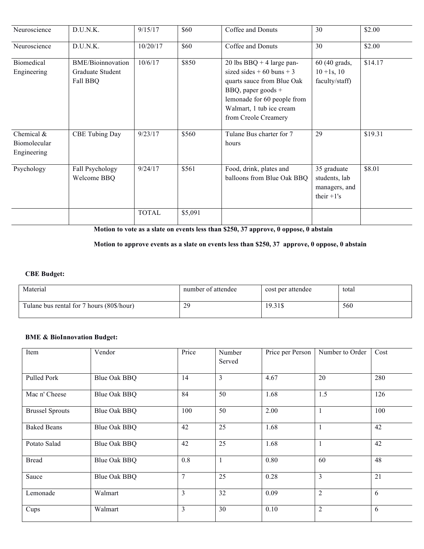| Neuroscience                                | D.U.N.K.                                                 | 9/15/17      | \$60    | Coffee and Donuts                                                                                                                                                                                 | 30                                                             | \$2.00  |
|---------------------------------------------|----------------------------------------------------------|--------------|---------|---------------------------------------------------------------------------------------------------------------------------------------------------------------------------------------------------|----------------------------------------------------------------|---------|
| Neuroscience                                | D.U.N.K.                                                 | 10/20/17     | \$60    | Coffee and Donuts                                                                                                                                                                                 | 30                                                             | \$2.00  |
| Biomedical<br>Engineering                   | <b>BME/Bioinnovation</b><br>Graduate Student<br>Fall BBQ | 10/6/17      | \$850   | 20 lbs BBQ + 4 large pan-<br>sized sides $+60$ buns $+3$<br>quarts sauce from Blue Oak<br>BBQ, paper goods $+$<br>lemonade for 60 people from<br>Walmart, 1 tub ice cream<br>from Creole Creamery | 60 (40 grads,<br>$10 + 1s$ , 10<br>faculty/staff)              | \$14.17 |
| Chemical $&$<br>Biomolecular<br>Engineering | <b>CBE Tubing Day</b>                                    | 9/23/17      | \$560   | Tulane Bus charter for 7<br>hours                                                                                                                                                                 | 29                                                             | \$19.31 |
| Psychology                                  | Fall Psychology<br>Welcome BBQ                           | 9/24/17      | \$561   | Food, drink, plates and<br>balloons from Blue Oak BBQ                                                                                                                                             | 35 graduate<br>students, lab<br>managers, and<br>their $+1$ 's | \$8.01  |
|                                             |                                                          | <b>TOTAL</b> | \$5,091 |                                                                                                                                                                                                   |                                                                |         |

**Motion to vote as a slate on events less than \$250, 37 approve, 0 oppose, 0 abstain**

### **Motion to approve events as a slate on events less than \$250, 37 approve, 0 oppose, 0 abstain**

# **CBE Budget:**

| Material                                  | number of attendee | cost per attendee | total |
|-------------------------------------------|--------------------|-------------------|-------|
| Tulane bus rental for 7 hours (80\$/hour) | 29                 | 19.31\$           | 560   |

# **BME & BioInnovation Budget:**

| Item                   | Vendor              | Price          | Number<br>Served | Price per Person | Number to Order | Cost |
|------------------------|---------------------|----------------|------------------|------------------|-----------------|------|
| Pulled Pork            | Blue Oak BBQ        | 14             | 3                | 4.67             | 20              | 280  |
| Mac n' Cheese          | <b>Blue Oak BBQ</b> | 84             | 50               | 1.68             | 1.5             | 126  |
| <b>Brussel Sprouts</b> | Blue Oak BBQ        | 100            | 50               | 2.00             | $\mathbf{I}$    | 100  |
| <b>Baked Beans</b>     | Blue Oak BBQ        | 42             | 25               | 1.68             |                 | 42   |
| Potato Salad           | <b>Blue Oak BBQ</b> | 42             | 25               | 1.68             | $\mathbf{1}$    | 42   |
| <b>Bread</b>           | Blue Oak BBQ        | 0.8            | $\mathbf{1}$     | 0.80             | 60              | 48   |
| Sauce                  | <b>Blue Oak BBQ</b> | $\overline{7}$ | 25               | 0.28             | $\overline{3}$  | 21   |
| Lemonade               | Walmart             | 3              | 32               | 0.09             | $\overline{2}$  | 6    |
| Cups                   | Walmart             | 3              | 30               | 0.10             | $\overline{2}$  | 6    |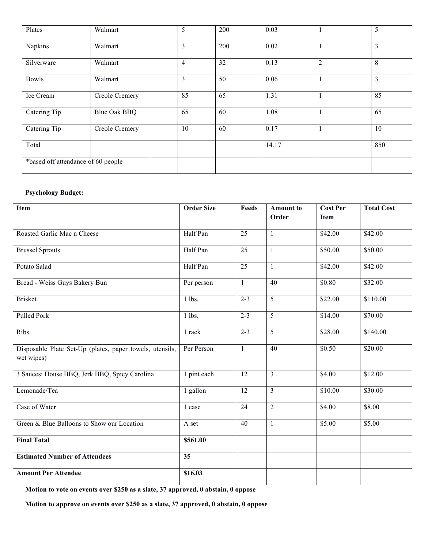| Plates                             | Walmart             | 5              | 200 | 0.03  |                | 5              |
|------------------------------------|---------------------|----------------|-----|-------|----------------|----------------|
| Napkins                            | Walmart             | 3              | 200 | 0.02  |                | 3              |
| Silverware                         | Walmart             | $\overline{4}$ | 32  | 0.13  | $\overline{2}$ | 8              |
| <b>Bowls</b>                       | Walmart             | 3              | 50  | 0.06  |                | $\overline{3}$ |
| Ice Cream                          | Creole Cremery      | 85             | 65  | 1.31  |                | 85             |
| Catering Tip                       | <b>Blue Oak BBQ</b> | 65             | 60  | 1.08  |                | 65             |
| Catering Tip                       | Creole Cremery      | 10             | 60  | 0.17  |                | 10             |
| Total                              |                     |                |     | 14.17 |                | 850            |
| *based off attendance of 60 people |                     |                |     |       |                |                |

# **Psychology Budget:**

| Item                                                                   | <b>Order Size</b> | Feeds           | <b>Amount to</b><br>Order | <b>Cost Per</b><br><b>Item</b> | <b>Total Cost</b> |
|------------------------------------------------------------------------|-------------------|-----------------|---------------------------|--------------------------------|-------------------|
| Roasted Garlic Mac n Cheese                                            | Half Pan          | 25              | 1                         | \$42.00                        | \$42.00           |
| <b>Brussel Sprouts</b>                                                 | Half Pan          | $\overline{25}$ | $\mathbf{1}$              | \$50.00                        | \$50.00           |
| Potato Salad                                                           | Half Pan          | $\overline{25}$ | $\mathbf{1}$              | \$42.00                        | \$42.00           |
| Bread - Weiss Guys Bakery Bun                                          | Per person        | 1               | 40                        | \$0.80                         | \$32.00           |
| <b>Brisket</b>                                                         | $1$ lbs.          | $2 - 3$         | 5                         | \$22.00                        | \$110.00          |
| <b>Pulled Pork</b>                                                     | $1$ lbs.          | $2 - 3$         | $\overline{5}$            | \$14.00                        | \$70.00           |
| Ribs                                                                   | 1 rack            | $2 - 3$         | 5                         | \$28.00                        | \$140.00          |
| Disposable Plate Set-Up (plates, paper towels, utensils,<br>wet wipes) | Per Person        | $\mathbf{1}$    | 40                        | \$0.50                         | \$20.00           |
| 3 Sauces: House BBQ, Jerk BBQ, Spicy Carolina                          | 1 pint each       | 12              | $\overline{3}$            | \$4.00                         | \$12.00           |
| Lemonade/Tea                                                           | 1 gallon          | 12              | $\overline{3}$            | \$10.00                        | \$30.00           |
| Case of Water                                                          | 1 case            | 24              | $\overline{2}$            | \$4.00                         | \$8.00            |
| Green & Blue Balloons to Show our Location                             | A set             | 40              | $\mathbf{1}$              | \$5.00                         | \$5.00            |
| <b>Final Total</b>                                                     | \$561.00          |                 |                           |                                |                   |
| <b>Estimated Number of Attendees</b>                                   | 35                |                 |                           |                                |                   |
| <b>Amount Per Attendee</b>                                             | \$16.03           |                 |                           |                                |                   |

**Motion to vote on events over \$250 as a slate, 37 approved, 0 abstain, 0 oppose**

**Motion to approve on events over \$250 as a slate, 37 approved, 0 abstain, 0 oppose**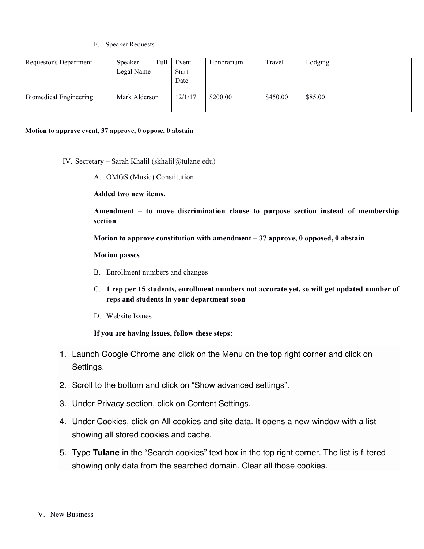F. Speaker Requests

| Requestor's Department | Speaker<br>Legal Name | Full | Event<br><b>Start</b><br>Date | Honorarium | Travel   | Lodging |
|------------------------|-----------------------|------|-------------------------------|------------|----------|---------|
| Biomedical Engineering | Mark Alderson         |      | 12/1/17                       | \$200.00   | \$450.00 | \$85.00 |

#### **Motion to approve event, 37 approve, 0 oppose, 0 abstain**

- IV. Secretary Sarah Khalil (skhalil@tulane.edu)
	- A. OMGS (Music) Constitution

**Added two new items.** 

**Amendment – to move discrimination clause to purpose section instead of membership section**

**Motion to approve constitution with amendment – 37 approve, 0 opposed, 0 abstain**

### **Motion passes**

- B. Enrollment numbers and changes
- C. **1 rep per 15 students, enrollment numbers not accurate yet, so will get updated number of reps and students in your department soon**
- D. Website Issues

**If you are having issues, follow these steps:**

- 1. Launch Google Chrome and click on the Menu on the top right corner and click on Settings.
- 2. Scroll to the bottom and click on "Show advanced settings".
- 3. Under Privacy section, click on Content Settings.
- 4. Under Cookies, click on All cookies and site data. It opens a new window with a list showing all stored cookies and cache.
- 5. Type **Tulane** in the "Search cookies" text box in the top right corner. The list is filtered showing only data from the searched domain. Clear all those cookies.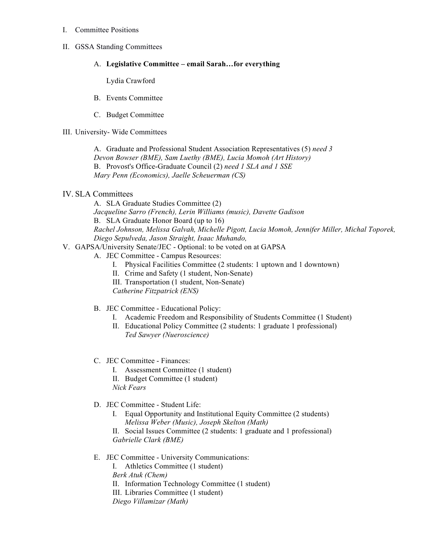I. Committee Positions

### II. GSSA Standing Committees

## A. **Legislative Committee – email Sarah…for everything**

Lydia Crawford

- B. Events Committee
- C. Budget Committee

## III. University- Wide Committees

A. Graduate and Professional Student Association Representatives (5) *need 3 Devon Bowser (BME), Sam Luethy (BME), Lucia Momoh (Art History)* B. Provost's Office-Graduate Council (2) *need 1 SLA and 1 SSE Mary Penn (Economics), Jaelle Scheuerman (CS)*

# IV. SLA Committees

A. SLA Graduate Studies Committee (2)

*Jacqueline Sarro (French), Lerin Williams (music), Davette Gadison*

B. SLA Graduate Honor Board (up to 16)

*Rachel Johnson, Melissa Galvah, Michelle Pigott, Lucia Momoh, Jennifer Miller, Michal Toporek, Diego Sepulveda, Jason Straight, Isaac Muhando,* 

## V. GAPSA/University Senate/JEC - Optional: to be voted on at GAPSA

- A. JEC Committee Campus Resources:
	- I. Physical Facilities Committee (2 students: 1 uptown and 1 downtown)
	- II. Crime and Safety (1 student, Non-Senate)
	- III. Transportation (1 student, Non-Senate)

*Catherine Fitzpatrick (ENS)*

- B. JEC Committee Educational Policy:
	- I. Academic Freedom and Responsibility of Students Committee (1 Student)
	- II. Educational Policy Committee (2 students: 1 graduate 1 professional) *Ted Sawyer (Nueroscience)*
- C. JEC Committee Finances:
	- I. Assessment Committee (1 student)
	- II. Budget Committee (1 student)

*Nick Fears*

- D. JEC Committee Student Life:
	- I. Equal Opportunity and Institutional Equity Committee (2 students) *Melissa Weber (Music), Joseph Skelton (Math)*

II. Social Issues Committee (2 students: 1 graduate and 1 professional) *Gabrielle Clark (BME)*

# E. JEC Committee - University Communications:

I. Athletics Committee (1 student) *Berk Atuk (Chem)* II. Information Technology Committee (1 student) III. Libraries Committee (1 student) *Diego Villamizar (Math)*